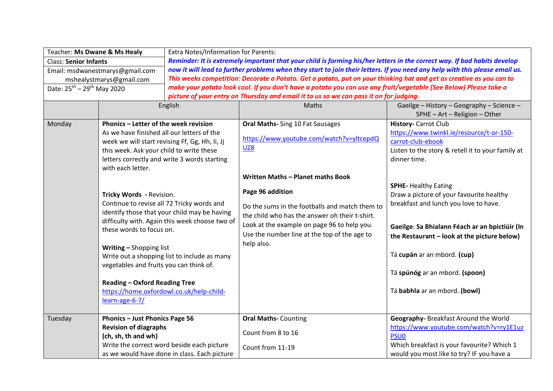| Teacher: Ms Dwane & Ms Healy                       |                                                                                            | <b>Extra Notes/Information for Parents:</b>                                                                                 |                                                |                                                   |  |  |
|----------------------------------------------------|--------------------------------------------------------------------------------------------|-----------------------------------------------------------------------------------------------------------------------------|------------------------------------------------|---------------------------------------------------|--|--|
| <b>Class: Senior Infants</b>                       |                                                                                            | Reminder: It is extremely important that your child is forming his/her letters in the correct way. If bad habits develop    |                                                |                                                   |  |  |
| Email: msdwanestmarys@gmail.com                    |                                                                                            | now it will lead to further problems when they start to join their letters. If you need any help with this please email us. |                                                |                                                   |  |  |
| mshealystmarys@gmail.com                           |                                                                                            | This weeks competition: Decorate a Potato. Get a potato, put on your thinking hat and get as creative as you can to         |                                                |                                                   |  |  |
| Date: 25 <sup>th</sup> - 29 <sup>th</sup> May 2020 |                                                                                            | make your potato look cool. If you don't have a potato you can use any fruit/vegetable (See Below) Please take a            |                                                |                                                   |  |  |
|                                                    |                                                                                            | picture of your entry on Thursday and email it to us so we can pass it on for judging.                                      |                                                |                                                   |  |  |
|                                                    |                                                                                            | English                                                                                                                     | Maths                                          | Gaeilge - History - Geography - Science -         |  |  |
|                                                    |                                                                                            |                                                                                                                             |                                                | SPHE - Art - Religion - Other                     |  |  |
| Monday<br>Phonics - Letter of the week revision    |                                                                                            |                                                                                                                             | Oral Maths- Sing 10 Fat Sausages               | <b>History-</b> Carrot Club                       |  |  |
|                                                    | As we have finished all our letters of the                                                 |                                                                                                                             |                                                | https://www.twinkl.ie/resource/t-or-150-          |  |  |
|                                                    | week we will start revising Ff, Gg, Hh, Ii, Jj                                             |                                                                                                                             | https://www.youtube.com/watch?v=yltcepdQ       | carrot-club-ebook                                 |  |  |
|                                                    | this week. Ask your child to write these                                                   |                                                                                                                             | UZ8                                            | Listen to the story & retell it to your family at |  |  |
|                                                    |                                                                                            | letters correctly and write 3 words starting                                                                                |                                                | dinner time.                                      |  |  |
|                                                    | with each letter.                                                                          |                                                                                                                             |                                                |                                                   |  |  |
|                                                    |                                                                                            |                                                                                                                             | Written Maths - Planet maths Book              |                                                   |  |  |
|                                                    | Tricky Words - Revision.                                                                   |                                                                                                                             |                                                | <b>SPHE-Healthy Eating</b>                        |  |  |
|                                                    |                                                                                            |                                                                                                                             | Page 96 addition                               | Draw a picture of your favourite healthy          |  |  |
|                                                    | Continue to revise all 72 Tricky words and                                                 |                                                                                                                             | Do the sums in the footballs and match them to | breakfast and lunch you love to have.             |  |  |
|                                                    | identify those that your child may be having                                               |                                                                                                                             | the child who has the answer oh their t-shirt. |                                                   |  |  |
| difficulty with. Again this week choose two of     |                                                                                            |                                                                                                                             |                                                |                                                   |  |  |
|                                                    | these words to focus on.                                                                   |                                                                                                                             | Look at the example on page 96 to help you.    | Gaeilge: Sa Bhialann Féach ar an bpictiúir (In    |  |  |
|                                                    |                                                                                            |                                                                                                                             | Use the number line at the top of the age to   | the Restaurant - look at the picture below)       |  |  |
|                                                    | Writing - Shopping list                                                                    |                                                                                                                             | help also.                                     |                                                   |  |  |
|                                                    |                                                                                            | Write out a shopping list to include as many                                                                                |                                                | Tá cupán ar an mbord. (cup)                       |  |  |
|                                                    | vegetables and fruits you can think of.                                                    |                                                                                                                             |                                                |                                                   |  |  |
|                                                    |                                                                                            |                                                                                                                             |                                                | Tá spúnóg ar an mbord. (spoon)                    |  |  |
|                                                    | <b>Reading - Oxford Reading Tree</b>                                                       |                                                                                                                             |                                                |                                                   |  |  |
|                                                    |                                                                                            | https://home.oxfordowl.co.uk/help-child-                                                                                    |                                                | Tá babhla ar an mbord. (bowl)                     |  |  |
|                                                    | learn-age-6-7/                                                                             |                                                                                                                             |                                                |                                                   |  |  |
|                                                    |                                                                                            |                                                                                                                             |                                                |                                                   |  |  |
| Tuesday                                            | Phonics - Just Phonics Page 56                                                             |                                                                                                                             | <b>Oral Maths-Counting</b>                     | Geography- Breakfast Around the World             |  |  |
|                                                    | <b>Revision of diagraphs</b>                                                               |                                                                                                                             |                                                | https://www.youtube.com/watch?v=ry1E1uz           |  |  |
|                                                    | (ch, sh, th and wh)                                                                        |                                                                                                                             | Count from 8 to 16                             | <b>PSUO</b>                                       |  |  |
|                                                    | Write the correct word beside each picture<br>as we would have done in class. Each picture |                                                                                                                             | Count from 11-19                               | Which breakfast is your favourite? Which 1        |  |  |
|                                                    |                                                                                            |                                                                                                                             |                                                | would you most like to try? IF you have a         |  |  |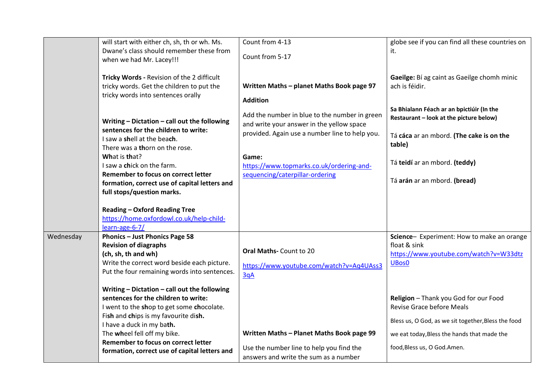|           | will start with either ch, sh, th or wh. Ms.     | Count from 4-13                                | globe see if you can find all these countries on    |
|-----------|--------------------------------------------------|------------------------------------------------|-----------------------------------------------------|
|           | Dwane's class should remember these from         |                                                |                                                     |
|           |                                                  | Count from 5-17                                | it.                                                 |
|           | when we had Mr. Lacey!!!                         |                                                |                                                     |
|           |                                                  |                                                |                                                     |
|           | Tricky Words - Revision of the 2 difficult       |                                                | Gaeilge: Bí ag caint as Gaeilge chomh minic         |
|           | tricky words. Get the children to put the        | Written Maths - planet Maths Book page 97      | ach is féidir.                                      |
|           | tricky words into sentences orally               | <b>Addition</b>                                |                                                     |
|           |                                                  |                                                | Sa Bhialann Féach ar an bpictiúir (In the           |
|           |                                                  | Add the number in blue to the number in green  | Restaurant - look at the picture below)             |
|           | Writing - Dictation - call out the following     | and write your answer in the yellow space      |                                                     |
|           | sentences for the children to write:             | provided. Again use a number line to help you. | Tá cáca ar an mbord. (The cake is on the            |
|           | I saw a shell at the beach.                      |                                                | table)                                              |
|           | There was a thorn on the rose.                   |                                                |                                                     |
|           | What is that?                                    | Game:                                          |                                                     |
|           | I saw a chick on the farm.                       | https://www.topmarks.co.uk/ordering-and-       | Tá teidí ar an mbord. (teddy)                       |
|           | Remember to focus on correct letter              | sequencing/caterpillar-ordering                |                                                     |
|           | formation, correct use of capital letters and    |                                                | Tá arán ar an mbord. (bread)                        |
|           | full stops/question marks.                       |                                                |                                                     |
|           |                                                  |                                                |                                                     |
|           | <b>Reading - Oxford Reading Tree</b>             |                                                |                                                     |
|           | https://home.oxfordowl.co.uk/help-child-         |                                                |                                                     |
|           | learn-age-6-7/                                   |                                                |                                                     |
| Wednesday | Phonics - Just Phonics Page 58                   |                                                | Science- Experiment: How to make an orange          |
|           | <b>Revision of diagraphs</b>                     |                                                | float & sink                                        |
|           | (ch, sh, th and wh)                              | Oral Maths- Count to 20                        | https://www.youtube.com/watch?v=W33dtz              |
|           | Write the correct word beside each picture.      | https://www.youtube.com/watch?v=Aq4UAss3       | UBos0                                               |
|           | Put the four remaining words into sentences.     |                                                |                                                     |
|           |                                                  | 3qA                                            |                                                     |
|           | Writing $-$ Dictation $-$ call out the following |                                                |                                                     |
|           | sentences for the children to write:             |                                                | Religion - Thank you God for our Food               |
|           | I went to the shop to get some chocolate.        |                                                | <b>Revise Grace before Meals</b>                    |
|           | Fish and chips is my favourite dish.             |                                                |                                                     |
|           | I have a duck in my bath.                        |                                                | Bless us, O God, as we sit together, Bless the food |
|           | The wheel fell off my bike.                      | Written Maths - Planet Maths Book page 99      | we eat today, Bless the hands that made the         |
|           | Remember to focus on correct letter              |                                                |                                                     |
|           | formation, correct use of capital letters and    | Use the number line to help you find the       | food, Bless us, O God. Amen.                        |
|           |                                                  | answers and write the sum as a number          |                                                     |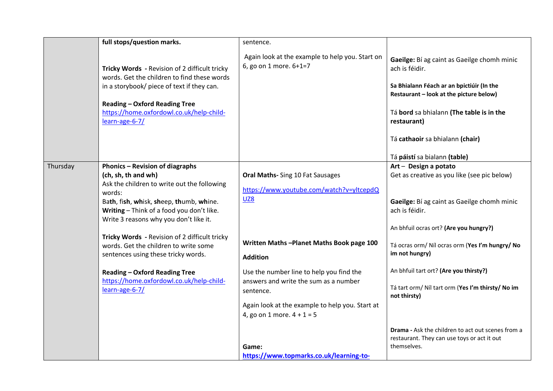|          | full stops/question marks.                                                                                                                                                         | sentence.                                                                       |                                                                                                                                                       |
|----------|------------------------------------------------------------------------------------------------------------------------------------------------------------------------------------|---------------------------------------------------------------------------------|-------------------------------------------------------------------------------------------------------------------------------------------------------|
|          | Tricky Words - Revision of 2 difficult tricky<br>words. Get the children to find these words<br>in a storybook/ piece of text if they can.<br><b>Reading - Oxford Reading Tree</b> | Again look at the example to help you. Start on<br>6, go on 1 more. 6+1=7       | Gaeilge: Bí ag caint as Gaeilge chomh minic<br>ach is féidir.<br>Sa Bhialann Féach ar an bpictiúir (In the<br>Restaurant - look at the picture below) |
|          | https://home.oxfordowl.co.uk/help-child-<br>learn-age-6-7/                                                                                                                         |                                                                                 | Tá bord sa bhialann (The table is in the<br>restaurant)                                                                                               |
|          |                                                                                                                                                                                    |                                                                                 | Tá cathaoir sa bhialann (chair)                                                                                                                       |
|          |                                                                                                                                                                                    |                                                                                 | Tá páistí sa bialann (table)                                                                                                                          |
| Thursday | <b>Phonics - Revision of diagraphs</b><br>(ch, sh, th and wh)                                                                                                                      | Oral Maths- Sing 10 Fat Sausages                                                | Art - Design a potato<br>Get as creative as you like (see pic below)                                                                                  |
|          | Ask the children to write out the following<br>words:                                                                                                                              | https://www.youtube.com/watch?v=yltcepdQ                                        |                                                                                                                                                       |
|          | Bath, fish, whisk, sheep, thumb, whine.<br>Writing - Think of a food you don't like.<br>Write 3 reasons why you don't like it.                                                     | <b>UZ8</b>                                                                      | Gaeilge: Bí ag caint as Gaeilge chomh minic<br>ach is féidir.                                                                                         |
|          |                                                                                                                                                                                    |                                                                                 | An bhfuil ocras ort? (Are you hungry?)                                                                                                                |
|          | Tricky Words - Revision of 2 difficult tricky<br>words. Get the children to write some<br>sentences using these tricky words.                                                      | Written Maths-Planet Maths Book page 100<br><b>Addition</b>                     | Tá ocras orm/ Níl ocras orm (Yes I'm hungry/ No<br>im not hungry)                                                                                     |
|          | <b>Reading - Oxford Reading Tree</b>                                                                                                                                               | Use the number line to help you find the                                        | An bhfuil tart ort? (Are you thirsty?)                                                                                                                |
|          | https://home.oxfordowl.co.uk/help-child-<br>learn-age-6-7/                                                                                                                         | answers and write the sum as a number<br>sentence.                              | Tá tart orm/ Níl tart orm (Yes I'm thirsty/ No im<br>not thirsty)                                                                                     |
|          |                                                                                                                                                                                    | Again look at the example to help you. Start at<br>4, go on 1 more. $4 + 1 = 5$ |                                                                                                                                                       |
|          |                                                                                                                                                                                    | Game:                                                                           | Drama - Ask the children to act out scenes from a<br>restaurant. They can use toys or act it out<br>themselves.                                       |
|          |                                                                                                                                                                                    | https://www.topmarks.co.uk/learning-to-                                         |                                                                                                                                                       |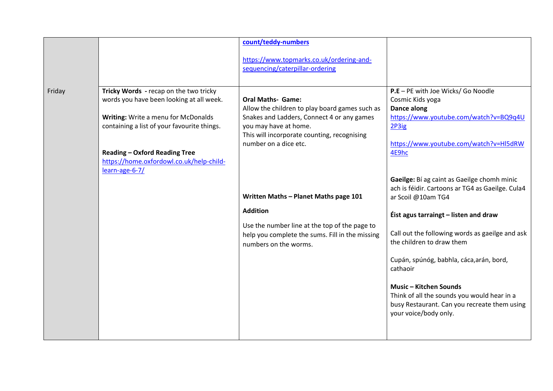|        |                                                                                                                                                                                                                                                              | count/teddy-numbers                                                                                                                                                                                                       |                                                                                                                                                                                                                                                                                                                                                                                                                                                                 |
|--------|--------------------------------------------------------------------------------------------------------------------------------------------------------------------------------------------------------------------------------------------------------------|---------------------------------------------------------------------------------------------------------------------------------------------------------------------------------------------------------------------------|-----------------------------------------------------------------------------------------------------------------------------------------------------------------------------------------------------------------------------------------------------------------------------------------------------------------------------------------------------------------------------------------------------------------------------------------------------------------|
|        |                                                                                                                                                                                                                                                              | https://www.topmarks.co.uk/ordering-and-<br>sequencing/caterpillar-ordering                                                                                                                                               |                                                                                                                                                                                                                                                                                                                                                                                                                                                                 |
| Friday | Tricky Words - recap on the two tricky<br>words you have been looking at all week.<br>Writing: Write a menu for McDonalds<br>containing a list of your favourite things.<br><b>Reading - Oxford Reading Tree</b><br>https://home.oxfordowl.co.uk/help-child- | <b>Oral Maths- Game:</b><br>Allow the children to play board games such as<br>Snakes and Ladders, Connect 4 or any games<br>you may have at home.<br>This will incorporate counting, recognising<br>number on a dice etc. | P.E - PE with Joe Wicks/ Go Noodle<br>Cosmic Kids yoga<br>Dance along<br>https://www.youtube.com/watch?v=BQ9q4U<br>2P3ig<br>https://www.youtube.com/watch?v=HI5dRW<br>4E9hc                                                                                                                                                                                                                                                                                     |
|        | learn-age-6-7/                                                                                                                                                                                                                                               | Written Maths - Planet Maths page 101<br><b>Addition</b><br>Use the number line at the top of the page to<br>help you complete the sums. Fill in the missing<br>numbers on the worms.                                     | Gaeilge: Bí ag caint as Gaeilge chomh minic<br>ach is féidir. Cartoons ar TG4 as Gaeilge. Cula4<br>ar Scoil @10am TG4<br>Éist agus tarraingt - listen and draw<br>Call out the following words as gaeilge and ask<br>the children to draw them<br>Cupán, spúnóg, babhla, cáca, arán, bord,<br>cathaoir<br><b>Music - Kitchen Sounds</b><br>Think of all the sounds you would hear in a<br>busy Restaurant. Can you recreate them using<br>your voice/body only. |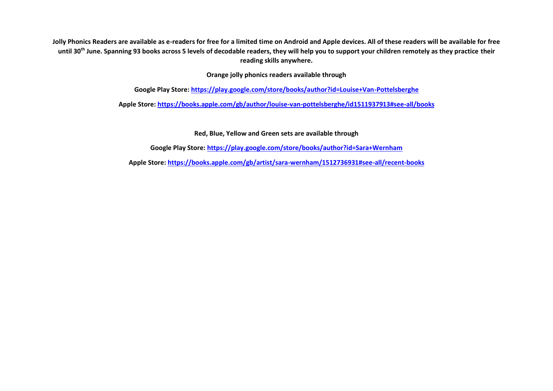**Jolly Phonics Readers are available as e-readers for free for a limited time on Android and Apple devices. All of these readers will be available for free until 30th June. Spanning 93 books across 5 levels of decodable readers, they will help you to support your children remotely as they practice their reading skills anywhere.**

**Orange jolly phonics readers available through** 

**Google Play Store:<https://play.google.com/store/books/author?id=Louise+Van-Pottelsberghe>**

**Apple Store[: https://books.apple.com/gb/author/louise-van-pottelsberghe/id1511937913#see-all/books](https://books.apple.com/gb/author/louise-van-pottelsberghe/id1511937913#see-all/books)**

**Red, Blue, Yellow and Green sets are available through**

**Google Play Store:<https://play.google.com/store/books/author?id=Sara+Wernham>**

**Apple Store:<https://books.apple.com/gb/artist/sara-wernham/1512736931#see-all/recent-books>**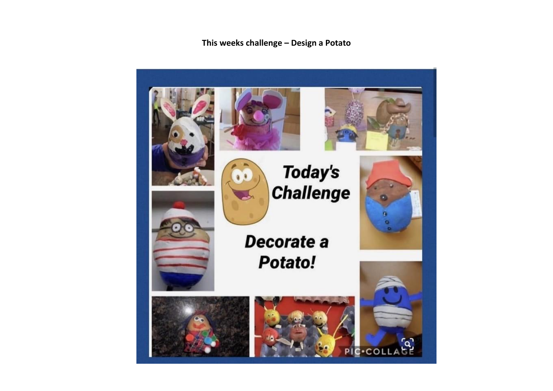This weeks challenge - Design a Potato